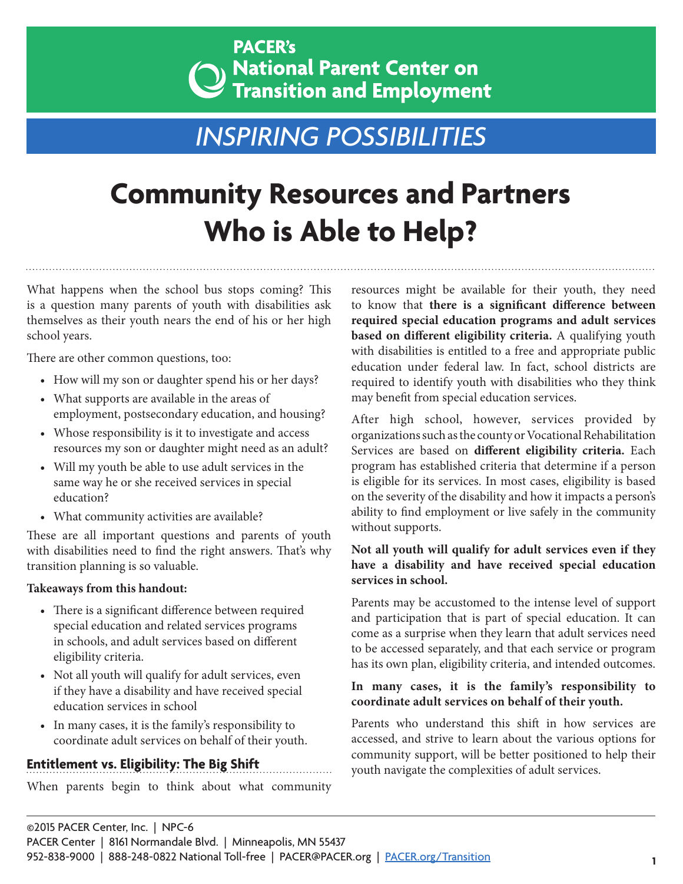### **PACER's**  $\mathbf{a}_0$  National Parent Center on Transition and Employment

## *INSPIRING POSSIBILITIES*

# **Community Resources and Partners Who is Able to Help?**

What happens when the school bus stops coming? This is a question many parents of youth with disabilities ask themselves as their youth nears the end of his or her high school years.

There are other common questions, too:

- How will my son or daughter spend his or her days?
- What supports are available in the areas of employment, postsecondary education, and housing?
- Whose responsibility is it to investigate and access resources my son or daughter might need as an adult?
- Will my youth be able to use adult services in the same way he or she received services in special education?
- What community activities are available?

These are all important questions and parents of youth with disabilities need to find the right answers. That's why transition planning is so valuable.

#### **Takeaways from this handout:**

- There is a significant difference between required special education and related services programs in schools, and adult services based on different eligibility criteria.
- Not all youth will qualify for adult services, even if they have a disability and have received special education services in school
- In many cases, it is the family's responsibility to coordinate adult services on behalf of their youth.

#### **Entitlement vs. Eligibility: The Big Shift**

When parents begin to think about what community

resources might be available for their youth, they need to know that **there is a significant difference between required special education programs and adult services based on different eligibility criteria.** A qualifying youth with disabilities is entitled to a free and appropriate public education under federal law. In fact, school districts are required to identify youth with disabilities who they think may benefit from special education services.

After high school, however, services provided by organizations such as the county or Vocational Rehabilitation Services are based on **different eligibility criteria.** Each program has established criteria that determine if a person is eligible for its services. In most cases, eligibility is based on the severity of the disability and how it impacts a person's ability to find employment or live safely in the community without supports.

#### **Not all youth will qualify for adult services even if they have a disability and have received special education services in school.**

Parents may be accustomed to the intense level of support and participation that is part of special education. It can come as a surprise when they learn that adult services need to be accessed separately, and that each service or program has its own plan, eligibility criteria, and intended outcomes.

#### **In many cases, it is the family's responsibility to coordinate adult services on behalf of their youth.**

Parents who understand this shift in how services are accessed, and strive to learn about the various options for community support, will be better positioned to help their youth navigate the complexities of adult services.